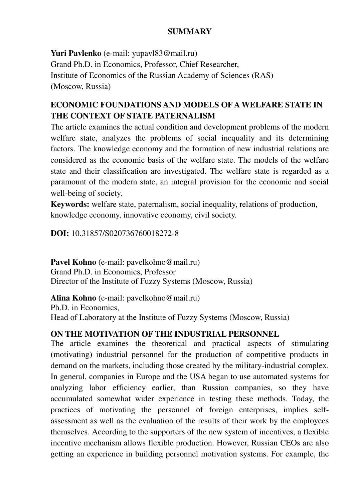#### **SUMMARY**

**Yuri Pavlenko** (e-mail: yupavl83@mail.ru) Grand Ph.D. in Economics, Professor, Chief Researcher, Institute of Economics of the Russian Academy of Sciences (RAS) (Moscow, Russia)

### **ECONOMIC FOUNDATIONS AND MODELS OF A WELFARE STATE IN THE CONTEXT OF STATE PATERNALISM**

The article examines the actual condition and development problems of the modern welfare state, analyzes the problems of social inequality and its determining factors. The knowledge economy and the formation of new industrial relations are considered as the economic basis of the welfare state. The models of the welfare state and their classification are investigated. The welfare state is regarded as a paramount of the modern state, an integral provision for the economic and social well-being of society.

**Keywords:** welfare state, paternalism, social inequality, relations of production, knowledge economy, innovative economy, civil society.

**DOI:** 10.31857/S020736760018272-8

Pavel Kohno (e-mail: pavelkohno@mail.ru) Grand Ph.D. in Economics, Professor Director of the Institute of Fuzzy Systems (Moscow, Russia)

**Alina Kohno** (e-mail: pavelkohno@mail.ru) Ph.D. in Economics, Head of Laboratory at the Institute of Fuzzy Systems (Moscow, Russia)

#### **ON THE MOTIVATION OF THE INDUSTRIAL PERSONNEL**

The article examines the theoretical and practical aspects of stimulating (motivating) industrial personnel for the production of competitive products in demand on the markets, including those created by the military-industrial complex. In general, companies in Europe and the USA began to use automated systems for analyzing labor efficiency earlier, than Russian companies, so they have accumulated somewhat wider experience in testing these methods. Today, the practices of motivating the personnel of foreign enterprises, implies selfassessment as well as the evaluation of the results of their work by the employees themselves. According to the supporters of the new system of incentives, a flexible incentive mechanism allows flexible production. However, Russian CEOs are also getting an experience in building personnel motivation systems. For example, the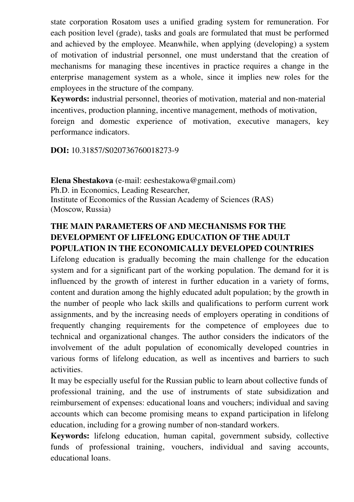state corporation Rosatom uses a unified grading system for remuneration. For each position level (grade), tasks and goals are formulated that must be performed and achieved by the employee. Meanwhile, when applying (developing) a system of motivation of industrial personnel, one must understand that the creation of mechanisms for managing these incentives in practice requires a change in the enterprise management system as a whole, since it implies new roles for the employees in the structure of the company.

**Keywords:** industrial personnel, theories of motivation, material and non-material incentives, production planning, incentive management, methods of motivation, foreign and domestic experience of motivation, executive managers, key performance indicators.

**DOI:** 10.31857/S020736760018273-9

**Elena Shestakova** (e-mail: eeshestakowa@gmail.com) Ph.D. in Economics, Leading Researcher, Institute of Economics of the Russian Academy of Sciences (RAS) (Moscow, Russia)

### **THE MAIN PARAMETERS OF AND MECHANISMS FOR THE DEVELOPMENT OF LIFELONG EDUCATION OF THE ADULT POPULATION IN THE ECONOMICALLY DEVELOPED COUNTRIES**

Lifelong education is gradually becoming the main challenge for the education system and for a significant part of the working population. The demand for it is influenced by the growth of interest in further education in a variety of forms, content and duration among the highly educated adult population; by the growth in the number of people who lack skills and qualifications to perform current work assignments, and by the increasing needs of employers operating in conditions of frequently changing requirements for the competence of employees due to technical and organizational changes. The author considers the indicators of the involvement of the adult population of economically developed countries in various forms of lifelong education, as well as incentives and barriers to such activities.

It may be especially useful for the Russian public to learn about collective funds of professional training, and the use of instruments of state subsidization and reimbursement of expenses: educational loans and vouchers; individual and saving accounts which can become promising means to expand participation in lifelong education, including for a growing number of non-standard workers.

**Keywords:** lifelong education, human capital, government subsidy, collective funds of professional training, vouchers, individual and saving accounts, educational loans.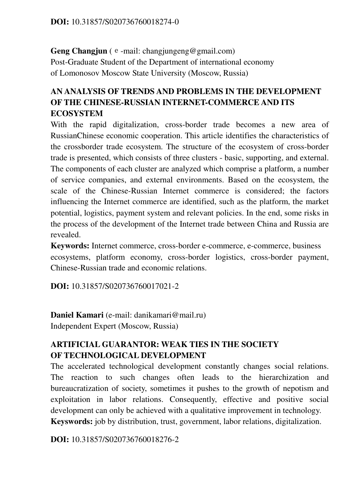**Geng Changjun** (е-mail: changjungeng@gmail.com) Post-Graduate Student of the Department of international economy of Lomonosov Moscow State University (Moscow, Russia)

# **AN ANALYSIS OF TRENDS AND PROBLEMS IN THE DEVELOPMENT OF THE CHINESE-RUSSIAN INTERNET-COMMERCE AND ITS ECOSYSTEM**

With the rapid digitalization, cross-border trade becomes a new area of RussianChinese economic cooperation. This article identifies the characteristics of the crossborder trade ecosystem. The structure of the ecosystem of cross-border trade is presented, which consists of three clusters - basic, supporting, and external. The components of each cluster are analyzed which comprise a platform, a number of service companies, and external environments. Based on the ecosystem, the scale of the Chinese-Russian Internet commerce is considered; the factors influencing the Internet commerce are identified, such as the platform, the market potential, logistics, payment system and relevant policies. In the end, some risks in the process of the development of the Internet trade between China and Russia are revealed.

**Keywords:** Internet commerce, cross-border e-commerce, e-commerce, business ecosystems, platform economy, cross-border logistics, cross-border payment, Chinese-Russian trade and economic relations.

**DOI:** 10.31857/S020736760017021-2

**Daniel Kamari** (e-mail: danikamari@mail.ru) Independent Expert (Moscow, Russia)

#### **ARTIFICIAL GUARANTOR: WEAK TIES IN THE SOCIETY OF TECHNOLOGICAL DEVELOPMENT**

The accelerated technological development constantly changes social relations. The reaction to such changes often leads to the hierarchization and bureaucratization of society, sometimes it pushes to the growth of nepotism and exploitation in labor relations. Consequently, effective and positive social development can only be achieved with a qualitative improvement in technology. **Keyswords:** job by distribution, trust, government, labor relations, digitalization.

**DOI:** 10.31857/S020736760018276-2